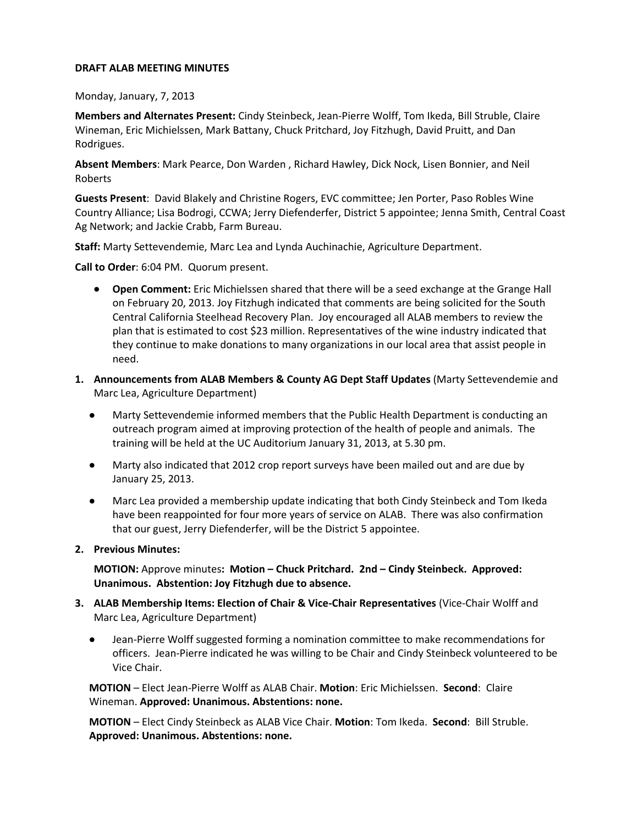## **DRAFT ALAB MEETING MINUTES**

Monday, January, 7, 2013

**Members and Alternates Present:** Cindy Steinbeck, Jean-Pierre Wolff, Tom Ikeda, Bill Struble, Claire Wineman, Eric Michielssen, Mark Battany, Chuck Pritchard, Joy Fitzhugh, David Pruitt, and Dan Rodrigues.

**Absent Members**: Mark Pearce, Don Warden , Richard Hawley, Dick Nock, Lisen Bonnier, and Neil Roberts

**Guests Present**: David Blakely and Christine Rogers, EVC committee; Jen Porter, Paso Robles Wine Country Alliance; Lisa Bodrogi, CCWA; Jerry Diefenderfer, District 5 appointee; Jenna Smith, Central Coast Ag Network; and Jackie Crabb, Farm Bureau.

**Staff:** Marty Settevendemie, Marc Lea and Lynda Auchinachie, Agriculture Department.

**Call to Order**: 6:04 PM. Quorum present.

- **Open Comment:** Eric Michielssen shared that there will be a seed exchange at the Grange Hall on February 20, 2013. Joy Fitzhugh indicated that comments are being solicited for the South Central California Steelhead Recovery Plan. Joy encouraged all ALAB members to review the plan that is estimated to cost \$23 million. Representatives of the wine industry indicated that they continue to make donations to many organizations in our local area that assist people in need.
- **1. Announcements from ALAB Members & County AG Dept Staff Updates** (Marty Settevendemie and Marc Lea, Agriculture Department)
	- Marty Settevendemie informed members that the Public Health Department is conducting an outreach program aimed at improving protection of the health of people and animals. The training will be held at the UC Auditorium January 31, 2013, at 5.30 pm.
	- Marty also indicated that 2012 crop report surveys have been mailed out and are due by January 25, 2013.
	- Marc Lea provided a membership update indicating that both Cindy Steinbeck and Tom Ikeda have been reappointed for four more years of service on ALAB. There was also confirmation that our guest, Jerry Diefenderfer, will be the District 5 appointee.
- **2. Previous Minutes:**

**MOTION:** Approve minutes**: Motion – Chuck Pritchard. 2nd – Cindy Steinbeck. Approved: Unanimous. Abstention: Joy Fitzhugh due to absence.**

- **3. ALAB Membership Items: Election of Chair & Vice-Chair Representatives** (Vice-Chair Wolff and Marc Lea, Agriculture Department)
	- Jean-Pierre Wolff suggested forming a nomination committee to make recommendations for officers. Jean-Pierre indicated he was willing to be Chair and Cindy Steinbeck volunteered to be Vice Chair.

**MOTION** – Elect Jean-Pierre Wolff as ALAB Chair. **Motion**: Eric Michielssen. **Second**: Claire Wineman. **Approved: Unanimous. Abstentions: none.**

**MOTION** – Elect Cindy Steinbeck as ALAB Vice Chair. **Motion**: Tom Ikeda. **Second**: Bill Struble. **Approved: Unanimous. Abstentions: none.**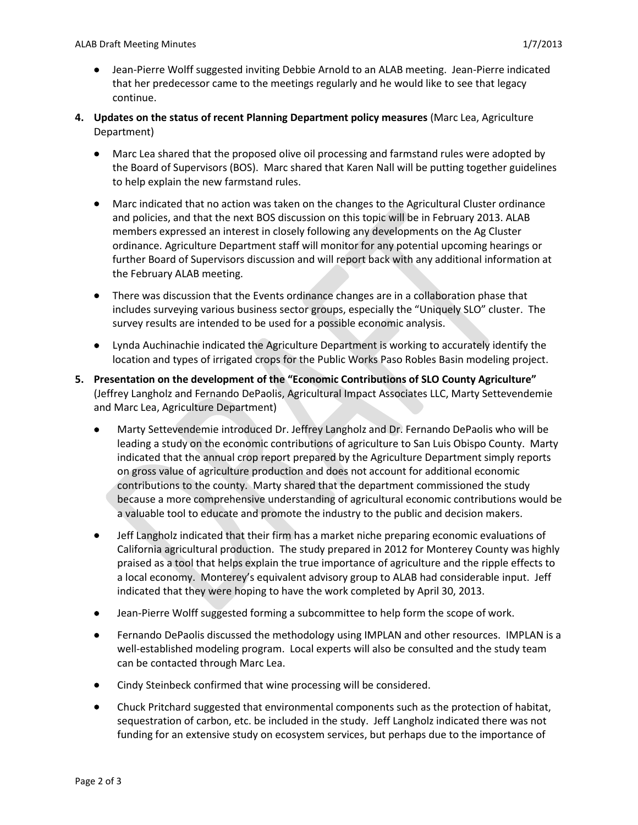- Jean-Pierre Wolff suggested inviting Debbie Arnold to an ALAB meeting. Jean-Pierre indicated that her predecessor came to the meetings regularly and he would like to see that legacy continue.
- **4. Updates on the status of recent Planning Department policy measures** (Marc Lea, Agriculture Department)
	- Marc Lea shared that the proposed olive oil processing and farmstand rules were adopted by the Board of Supervisors (BOS). Marc shared that Karen Nall will be putting together guidelines to help explain the new farmstand rules.
	- Marc indicated that no action was taken on the changes to the Agricultural Cluster ordinance and policies, and that the next BOS discussion on this topic will be in February 2013. ALAB members expressed an interest in closely following any developments on the Ag Cluster ordinance. Agriculture Department staff will monitor for any potential upcoming hearings or further Board of Supervisors discussion and will report back with any additional information at the February ALAB meeting.
	- There was discussion that the Events ordinance changes are in a collaboration phase that includes surveying various business sector groups, especially the "Uniquely SLO" cluster. The survey results are intended to be used for a possible economic analysis.
	- Lynda Auchinachie indicated the Agriculture Department is working to accurately identify the location and types of irrigated crops for the Public Works Paso Robles Basin modeling project.
- **5. Presentation on the development of the "Economic Contributions of SLO County Agriculture"** (Jeffrey Langholz and Fernando DePaolis, Agricultural Impact Associates LLC, Marty Settevendemie and Marc Lea, Agriculture Department)
	- Marty Settevendemie introduced Dr. Jeffrey Langholz and Dr. Fernando DePaolis who will be leading a study on the economic contributions of agriculture to San Luis Obispo County. Marty indicated that the annual crop report prepared by the Agriculture Department simply reports on gross value of agriculture production and does not account for additional economic contributions to the county. Marty shared that the department commissioned the study because a more comprehensive understanding of agricultural economic contributions would be a valuable tool to educate and promote the industry to the public and decision makers.
	- Jeff Langholz indicated that their firm has a market niche preparing economic evaluations of California agricultural production. The study prepared in 2012 for Monterey County was highly praised as a tool that helps explain the true importance of agriculture and the ripple effects to a local economy. Monterey's equivalent advisory group to ALAB had considerable input. Jeff indicated that they were hoping to have the work completed by April 30, 2013.
	- Jean-Pierre Wolff suggested forming a subcommittee to help form the scope of work.
	- Fernando DePaolis discussed the methodology using IMPLAN and other resources. IMPLAN is a well-established modeling program. Local experts will also be consulted and the study team can be contacted through Marc Lea.
	- Cindy Steinbeck confirmed that wine processing will be considered.
	- Chuck Pritchard suggested that environmental components such as the protection of habitat, sequestration of carbon, etc. be included in the study. Jeff Langholz indicated there was not funding for an extensive study on ecosystem services, but perhaps due to the importance of